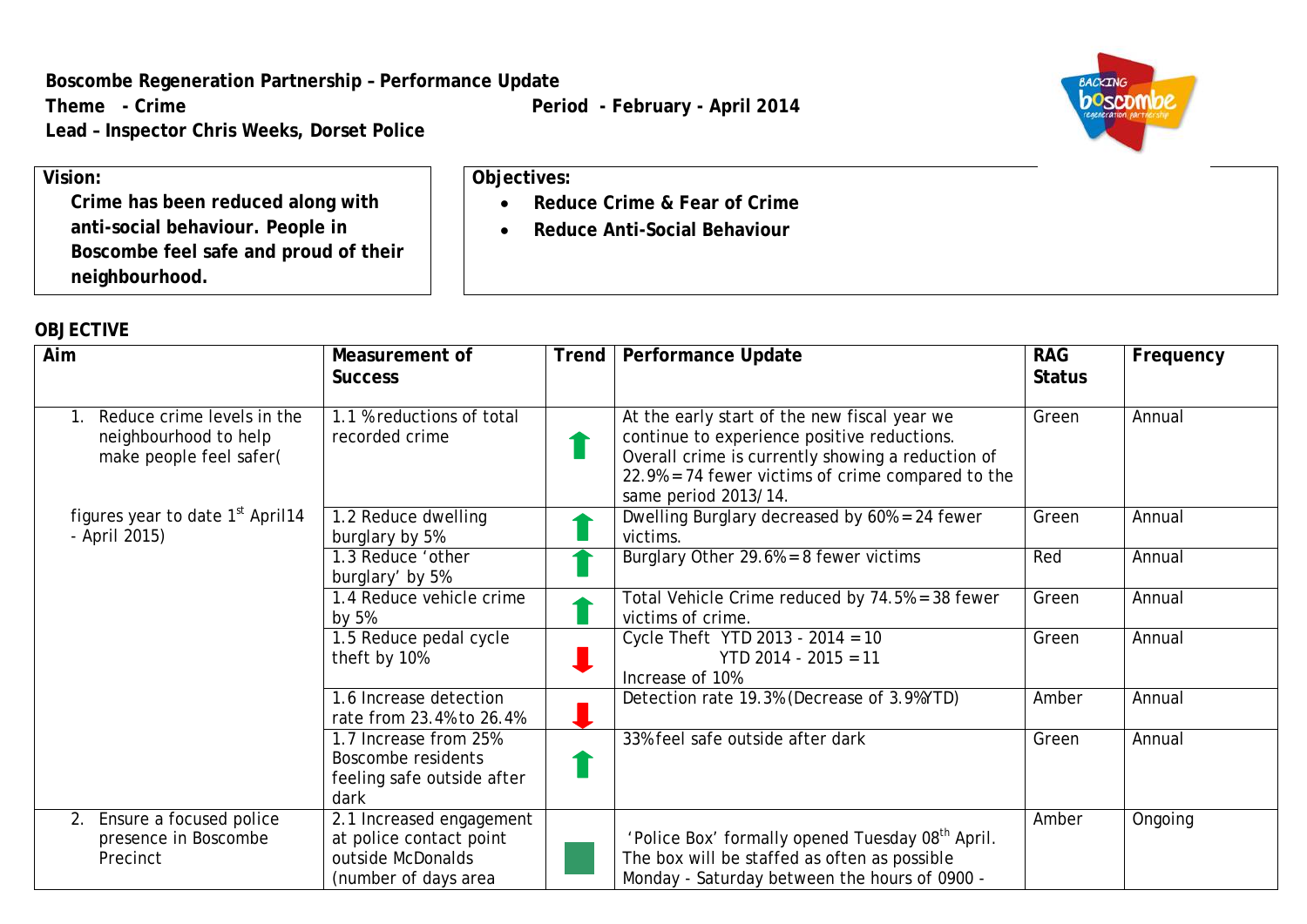**Boscombe Regeneration Partnership – Performance Update**

**Lead – Inspector Chris Weeks, Dorset Police**

Theme - Crime **Period -** February - April 2014

• **Reduce Crime & Fear of Crime** • **Reduce Anti-Social Behaviour**

**Objectives:**



**Vision: Crime has been reduced along with anti-social behaviour. People in Boscombe feel safe and proud of their neighbourhood.**

## **OBJECTIVE**

| Aim                                                                            | Measurement of<br><b>Success</b>                                                                 | <b>Trend</b> | <b>Performance Update</b>                                                                                                                                                                                                        | <b>RAG</b><br><b>Status</b> | Frequency |
|--------------------------------------------------------------------------------|--------------------------------------------------------------------------------------------------|--------------|----------------------------------------------------------------------------------------------------------------------------------------------------------------------------------------------------------------------------------|-----------------------------|-----------|
| Reduce crime levels in the<br>neighbourhood to help<br>make people feel safer( | 1.1 % reductions of total<br>recorded crime                                                      |              | At the early start of the new fiscal year we<br>continue to experience positive reductions.<br>Overall crime is currently showing a reduction of<br>$22.9\%$ = 74 fewer victims of crime compared to the<br>same period 2013/14. | Green                       | Annual    |
| figures year to date 1 <sup>st</sup> April14<br>- April 2015)                  | 1.2 Reduce dwelling<br>burglary by 5%                                                            |              | Dwelling Burglary decreased by $60\% = 24$ fewer<br>victims.                                                                                                                                                                     | Green                       | Annual    |
|                                                                                | 1.3 Reduce 'other<br>burglary' by 5%                                                             |              | Burglary Other $29.6% = 8$ fewer victims                                                                                                                                                                                         | Red                         | Annual    |
|                                                                                | 1.4 Reduce vehicle crime<br>by 5%                                                                |              | Total Vehicle Crime reduced by 74.5% = 38 fewer<br>victims of crime.                                                                                                                                                             | Green                       | Annual    |
|                                                                                | 1.5 Reduce pedal cycle<br>theft by 10%                                                           |              | Cycle Theft YTD 2013 - 2014 = 10<br>$YTD$ 2014 - 2015 = 11<br>Increase of 10%                                                                                                                                                    | Green                       | Annual    |
|                                                                                | 1.6 Increase detection<br>rate from 23.4% to 26.4%                                               |              | Detection rate 19.3% (Decrease of 3.9%YTD)                                                                                                                                                                                       | Amber                       | Annual    |
|                                                                                | 1.7 Increase from 25%<br>Boscombe residents<br>feeling safe outside after<br>dark                |              | 33% feel safe outside after dark                                                                                                                                                                                                 | Green                       | Annual    |
| Ensure a focused police<br>2.<br>presence in Boscombe<br>Precinct              | 2.1 Increased engagement<br>at police contact point<br>outside McDonalds<br>(number of days area |              | 'Police Box' formally opened Tuesday 08 <sup>th</sup> April.<br>The box will be staffed as often as possible<br>Monday - Saturday between the hours of 0900 -                                                                    | Amber                       | Ongoing   |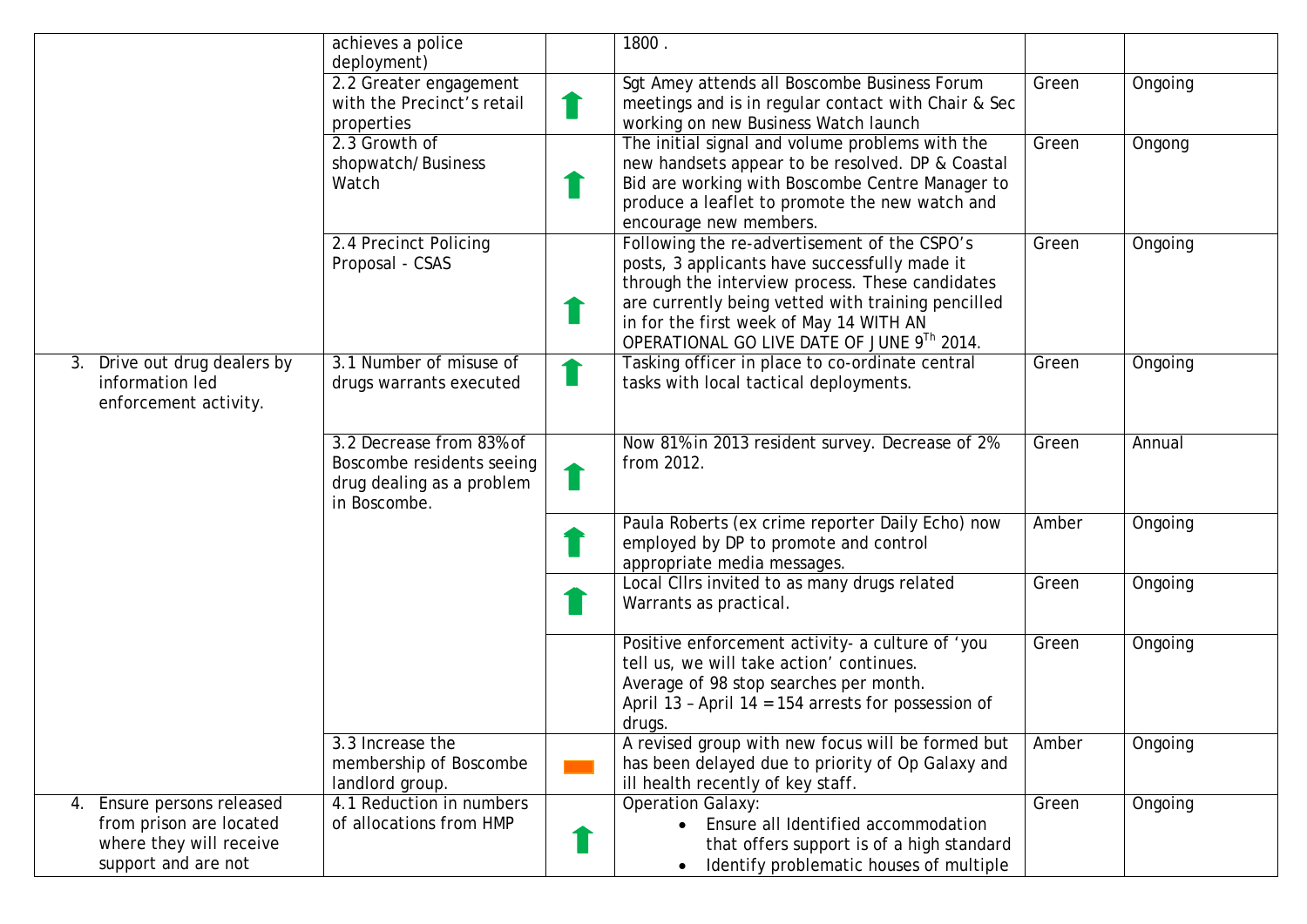|                                                                                                            | achieves a police                                                                                  |                | 1800.                                                                                                                                                                                                                                                                                           |       |         |
|------------------------------------------------------------------------------------------------------------|----------------------------------------------------------------------------------------------------|----------------|-------------------------------------------------------------------------------------------------------------------------------------------------------------------------------------------------------------------------------------------------------------------------------------------------|-------|---------|
|                                                                                                            | deployment)<br>2.2 Greater engagement<br>with the Precinct's retail<br>properties                  | T              | Sgt Amey attends all Boscombe Business Forum<br>meetings and is in regular contact with Chair & Sec<br>working on new Business Watch launch                                                                                                                                                     | Green | Ongoing |
|                                                                                                            | 2.3 Growth of<br>shopwatch/Business<br>Watch                                                       |                | The initial signal and volume problems with the<br>new handsets appear to be resolved. DP & Coastal<br>Bid are working with Boscombe Centre Manager to<br>produce a leaflet to promote the new watch and<br>encourage new members.                                                              | Green | Ongong  |
|                                                                                                            | 2.4 Precinct Policing<br>Proposal - CSAS                                                           |                | Following the re-advertisement of the CSPO's<br>posts, 3 applicants have successfully made it<br>through the interview process. These candidates<br>are currently being vetted with training pencilled<br>in for the first week of May 14 WITH AN<br>OPERATIONAL GO LIVE DATE OF JUNE 9Th 2014. | Green | Ongoing |
| 3. Drive out drug dealers by<br>information led<br>enforcement activity.                                   | 3.1 Number of misuse of<br>drugs warrants executed                                                 | <b>College</b> | Tasking officer in place to co-ordinate central<br>tasks with local tactical deployments.                                                                                                                                                                                                       | Green | Ongoing |
|                                                                                                            | 3.2 Decrease from 83% of<br>Boscombe residents seeing<br>drug dealing as a problem<br>in Boscombe. | a s            | Now 81% in 2013 resident survey. Decrease of 2%<br>from 2012.                                                                                                                                                                                                                                   | Green | Annual  |
|                                                                                                            |                                                                                                    |                | Paula Roberts (ex crime reporter Daily Echo) now<br>employed by DP to promote and control<br>appropriate media messages.                                                                                                                                                                        | Amber | Ongoing |
|                                                                                                            |                                                                                                    |                | Local Cllrs invited to as many drugs related<br>Warrants as practical.                                                                                                                                                                                                                          | Green | Ongoing |
|                                                                                                            |                                                                                                    |                | Positive enforcement activity- a culture of 'you<br>tell us, we will take action' continues.<br>Average of 98 stop searches per month.<br>April 13 - April 14 = 154 arrests for possession of<br>drugs.                                                                                         | Green | Ongoing |
|                                                                                                            | 3.3 Increase the<br>membership of Boscombe<br>landlord group.                                      |                | A revised group with new focus will be formed but<br>has been delayed due to priority of Op Galaxy and<br>ill health recently of key staff.                                                                                                                                                     | Amber | Ongoing |
| Ensure persons released<br>4.<br>from prison are located<br>where they will receive<br>support and are not | 4.1 Reduction in numbers<br>of allocations from HMP                                                |                | <b>Operation Galaxy:</b><br>Ensure all Identified accommodation<br>that offers support is of a high standard<br>Identify problematic houses of multiple                                                                                                                                         | Green | Ongoing |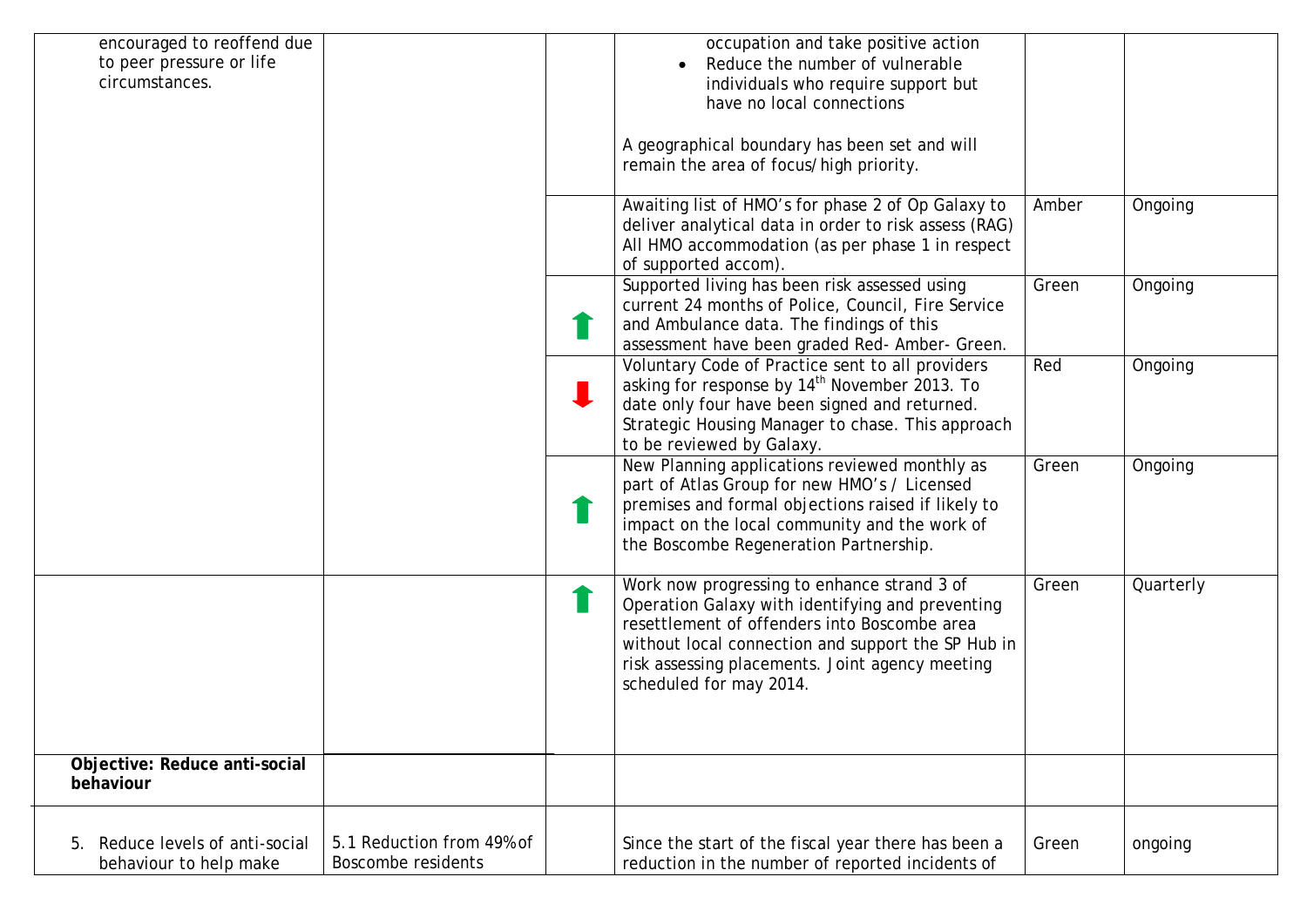| encouraged to reoffend due<br>occupation and take positive action<br>to peer pressure or life<br>Reduce the number of vulnerable<br>circumstances.<br>individuals who require support but<br>have no local connections<br>A geographical boundary has been set and will<br>remain the area of focus/high priority.<br>Awaiting list of HMO's for phase 2 of Op Galaxy to<br>Amber<br>Ongoing<br>deliver analytical data in order to risk assess (RAG)<br>All HMO accommodation (as per phase 1 in respect<br>of supported accom).<br>Supported living has been risk assessed using<br>Ongoing<br>Green<br>current 24 months of Police, Council, Fire Service<br>and Ambulance data. The findings of this<br>assessment have been graded Red- Amber- Green.<br>Voluntary Code of Practice sent to all providers<br>Red<br>Ongoing<br>asking for response by 14 <sup>th</sup> November 2013. To<br>date only four have been signed and returned.<br>Strategic Housing Manager to chase. This approach<br>to be reviewed by Galaxy.<br>New Planning applications reviewed monthly as<br>Green<br>Ongoing<br>part of Atlas Group for new HMO's / Licensed<br>premises and formal objections raised if likely to<br>impact on the local community and the work of<br>the Boscombe Regeneration Partnership.<br>Work now progressing to enhance strand 3 of<br>Quarterly<br>Green<br>Operation Galaxy with identifying and preventing<br>resettlement of offenders into Boscombe area<br>without local connection and support the SP Hub in<br>risk assessing placements. Joint agency meeting<br>scheduled for may 2014.<br>Objective: Reduce anti-social<br>behaviour<br>5.1 Reduction from 49% of<br>Reduce levels of anti-social<br>Since the start of the fiscal year there has been a<br>Green<br>ongoing<br><b>Boscombe residents</b><br>reduction in the number of reported incidents of<br>behaviour to help make |  |  |  |
|----------------------------------------------------------------------------------------------------------------------------------------------------------------------------------------------------------------------------------------------------------------------------------------------------------------------------------------------------------------------------------------------------------------------------------------------------------------------------------------------------------------------------------------------------------------------------------------------------------------------------------------------------------------------------------------------------------------------------------------------------------------------------------------------------------------------------------------------------------------------------------------------------------------------------------------------------------------------------------------------------------------------------------------------------------------------------------------------------------------------------------------------------------------------------------------------------------------------------------------------------------------------------------------------------------------------------------------------------------------------------------------------------------------------------------------------------------------------------------------------------------------------------------------------------------------------------------------------------------------------------------------------------------------------------------------------------------------------------------------------------------------------------------------------------------------------------------------------------------------------------------------------------------------------|--|--|--|
|                                                                                                                                                                                                                                                                                                                                                                                                                                                                                                                                                                                                                                                                                                                                                                                                                                                                                                                                                                                                                                                                                                                                                                                                                                                                                                                                                                                                                                                                                                                                                                                                                                                                                                                                                                                                                                                                                                                      |  |  |  |
|                                                                                                                                                                                                                                                                                                                                                                                                                                                                                                                                                                                                                                                                                                                                                                                                                                                                                                                                                                                                                                                                                                                                                                                                                                                                                                                                                                                                                                                                                                                                                                                                                                                                                                                                                                                                                                                                                                                      |  |  |  |
|                                                                                                                                                                                                                                                                                                                                                                                                                                                                                                                                                                                                                                                                                                                                                                                                                                                                                                                                                                                                                                                                                                                                                                                                                                                                                                                                                                                                                                                                                                                                                                                                                                                                                                                                                                                                                                                                                                                      |  |  |  |
|                                                                                                                                                                                                                                                                                                                                                                                                                                                                                                                                                                                                                                                                                                                                                                                                                                                                                                                                                                                                                                                                                                                                                                                                                                                                                                                                                                                                                                                                                                                                                                                                                                                                                                                                                                                                                                                                                                                      |  |  |  |
|                                                                                                                                                                                                                                                                                                                                                                                                                                                                                                                                                                                                                                                                                                                                                                                                                                                                                                                                                                                                                                                                                                                                                                                                                                                                                                                                                                                                                                                                                                                                                                                                                                                                                                                                                                                                                                                                                                                      |  |  |  |
|                                                                                                                                                                                                                                                                                                                                                                                                                                                                                                                                                                                                                                                                                                                                                                                                                                                                                                                                                                                                                                                                                                                                                                                                                                                                                                                                                                                                                                                                                                                                                                                                                                                                                                                                                                                                                                                                                                                      |  |  |  |
|                                                                                                                                                                                                                                                                                                                                                                                                                                                                                                                                                                                                                                                                                                                                                                                                                                                                                                                                                                                                                                                                                                                                                                                                                                                                                                                                                                                                                                                                                                                                                                                                                                                                                                                                                                                                                                                                                                                      |  |  |  |
|                                                                                                                                                                                                                                                                                                                                                                                                                                                                                                                                                                                                                                                                                                                                                                                                                                                                                                                                                                                                                                                                                                                                                                                                                                                                                                                                                                                                                                                                                                                                                                                                                                                                                                                                                                                                                                                                                                                      |  |  |  |
|                                                                                                                                                                                                                                                                                                                                                                                                                                                                                                                                                                                                                                                                                                                                                                                                                                                                                                                                                                                                                                                                                                                                                                                                                                                                                                                                                                                                                                                                                                                                                                                                                                                                                                                                                                                                                                                                                                                      |  |  |  |
|                                                                                                                                                                                                                                                                                                                                                                                                                                                                                                                                                                                                                                                                                                                                                                                                                                                                                                                                                                                                                                                                                                                                                                                                                                                                                                                                                                                                                                                                                                                                                                                                                                                                                                                                                                                                                                                                                                                      |  |  |  |
|                                                                                                                                                                                                                                                                                                                                                                                                                                                                                                                                                                                                                                                                                                                                                                                                                                                                                                                                                                                                                                                                                                                                                                                                                                                                                                                                                                                                                                                                                                                                                                                                                                                                                                                                                                                                                                                                                                                      |  |  |  |
|                                                                                                                                                                                                                                                                                                                                                                                                                                                                                                                                                                                                                                                                                                                                                                                                                                                                                                                                                                                                                                                                                                                                                                                                                                                                                                                                                                                                                                                                                                                                                                                                                                                                                                                                                                                                                                                                                                                      |  |  |  |
|                                                                                                                                                                                                                                                                                                                                                                                                                                                                                                                                                                                                                                                                                                                                                                                                                                                                                                                                                                                                                                                                                                                                                                                                                                                                                                                                                                                                                                                                                                                                                                                                                                                                                                                                                                                                                                                                                                                      |  |  |  |
|                                                                                                                                                                                                                                                                                                                                                                                                                                                                                                                                                                                                                                                                                                                                                                                                                                                                                                                                                                                                                                                                                                                                                                                                                                                                                                                                                                                                                                                                                                                                                                                                                                                                                                                                                                                                                                                                                                                      |  |  |  |
|                                                                                                                                                                                                                                                                                                                                                                                                                                                                                                                                                                                                                                                                                                                                                                                                                                                                                                                                                                                                                                                                                                                                                                                                                                                                                                                                                                                                                                                                                                                                                                                                                                                                                                                                                                                                                                                                                                                      |  |  |  |
|                                                                                                                                                                                                                                                                                                                                                                                                                                                                                                                                                                                                                                                                                                                                                                                                                                                                                                                                                                                                                                                                                                                                                                                                                                                                                                                                                                                                                                                                                                                                                                                                                                                                                                                                                                                                                                                                                                                      |  |  |  |
|                                                                                                                                                                                                                                                                                                                                                                                                                                                                                                                                                                                                                                                                                                                                                                                                                                                                                                                                                                                                                                                                                                                                                                                                                                                                                                                                                                                                                                                                                                                                                                                                                                                                                                                                                                                                                                                                                                                      |  |  |  |
|                                                                                                                                                                                                                                                                                                                                                                                                                                                                                                                                                                                                                                                                                                                                                                                                                                                                                                                                                                                                                                                                                                                                                                                                                                                                                                                                                                                                                                                                                                                                                                                                                                                                                                                                                                                                                                                                                                                      |  |  |  |
|                                                                                                                                                                                                                                                                                                                                                                                                                                                                                                                                                                                                                                                                                                                                                                                                                                                                                                                                                                                                                                                                                                                                                                                                                                                                                                                                                                                                                                                                                                                                                                                                                                                                                                                                                                                                                                                                                                                      |  |  |  |
|                                                                                                                                                                                                                                                                                                                                                                                                                                                                                                                                                                                                                                                                                                                                                                                                                                                                                                                                                                                                                                                                                                                                                                                                                                                                                                                                                                                                                                                                                                                                                                                                                                                                                                                                                                                                                                                                                                                      |  |  |  |
|                                                                                                                                                                                                                                                                                                                                                                                                                                                                                                                                                                                                                                                                                                                                                                                                                                                                                                                                                                                                                                                                                                                                                                                                                                                                                                                                                                                                                                                                                                                                                                                                                                                                                                                                                                                                                                                                                                                      |  |  |  |
|                                                                                                                                                                                                                                                                                                                                                                                                                                                                                                                                                                                                                                                                                                                                                                                                                                                                                                                                                                                                                                                                                                                                                                                                                                                                                                                                                                                                                                                                                                                                                                                                                                                                                                                                                                                                                                                                                                                      |  |  |  |
|                                                                                                                                                                                                                                                                                                                                                                                                                                                                                                                                                                                                                                                                                                                                                                                                                                                                                                                                                                                                                                                                                                                                                                                                                                                                                                                                                                                                                                                                                                                                                                                                                                                                                                                                                                                                                                                                                                                      |  |  |  |
|                                                                                                                                                                                                                                                                                                                                                                                                                                                                                                                                                                                                                                                                                                                                                                                                                                                                                                                                                                                                                                                                                                                                                                                                                                                                                                                                                                                                                                                                                                                                                                                                                                                                                                                                                                                                                                                                                                                      |  |  |  |
|                                                                                                                                                                                                                                                                                                                                                                                                                                                                                                                                                                                                                                                                                                                                                                                                                                                                                                                                                                                                                                                                                                                                                                                                                                                                                                                                                                                                                                                                                                                                                                                                                                                                                                                                                                                                                                                                                                                      |  |  |  |
|                                                                                                                                                                                                                                                                                                                                                                                                                                                                                                                                                                                                                                                                                                                                                                                                                                                                                                                                                                                                                                                                                                                                                                                                                                                                                                                                                                                                                                                                                                                                                                                                                                                                                                                                                                                                                                                                                                                      |  |  |  |
|                                                                                                                                                                                                                                                                                                                                                                                                                                                                                                                                                                                                                                                                                                                                                                                                                                                                                                                                                                                                                                                                                                                                                                                                                                                                                                                                                                                                                                                                                                                                                                                                                                                                                                                                                                                                                                                                                                                      |  |  |  |
|                                                                                                                                                                                                                                                                                                                                                                                                                                                                                                                                                                                                                                                                                                                                                                                                                                                                                                                                                                                                                                                                                                                                                                                                                                                                                                                                                                                                                                                                                                                                                                                                                                                                                                                                                                                                                                                                                                                      |  |  |  |
|                                                                                                                                                                                                                                                                                                                                                                                                                                                                                                                                                                                                                                                                                                                                                                                                                                                                                                                                                                                                                                                                                                                                                                                                                                                                                                                                                                                                                                                                                                                                                                                                                                                                                                                                                                                                                                                                                                                      |  |  |  |
|                                                                                                                                                                                                                                                                                                                                                                                                                                                                                                                                                                                                                                                                                                                                                                                                                                                                                                                                                                                                                                                                                                                                                                                                                                                                                                                                                                                                                                                                                                                                                                                                                                                                                                                                                                                                                                                                                                                      |  |  |  |
|                                                                                                                                                                                                                                                                                                                                                                                                                                                                                                                                                                                                                                                                                                                                                                                                                                                                                                                                                                                                                                                                                                                                                                                                                                                                                                                                                                                                                                                                                                                                                                                                                                                                                                                                                                                                                                                                                                                      |  |  |  |
|                                                                                                                                                                                                                                                                                                                                                                                                                                                                                                                                                                                                                                                                                                                                                                                                                                                                                                                                                                                                                                                                                                                                                                                                                                                                                                                                                                                                                                                                                                                                                                                                                                                                                                                                                                                                                                                                                                                      |  |  |  |
|                                                                                                                                                                                                                                                                                                                                                                                                                                                                                                                                                                                                                                                                                                                                                                                                                                                                                                                                                                                                                                                                                                                                                                                                                                                                                                                                                                                                                                                                                                                                                                                                                                                                                                                                                                                                                                                                                                                      |  |  |  |
|                                                                                                                                                                                                                                                                                                                                                                                                                                                                                                                                                                                                                                                                                                                                                                                                                                                                                                                                                                                                                                                                                                                                                                                                                                                                                                                                                                                                                                                                                                                                                                                                                                                                                                                                                                                                                                                                                                                      |  |  |  |
|                                                                                                                                                                                                                                                                                                                                                                                                                                                                                                                                                                                                                                                                                                                                                                                                                                                                                                                                                                                                                                                                                                                                                                                                                                                                                                                                                                                                                                                                                                                                                                                                                                                                                                                                                                                                                                                                                                                      |  |  |  |
|                                                                                                                                                                                                                                                                                                                                                                                                                                                                                                                                                                                                                                                                                                                                                                                                                                                                                                                                                                                                                                                                                                                                                                                                                                                                                                                                                                                                                                                                                                                                                                                                                                                                                                                                                                                                                                                                                                                      |  |  |  |
|                                                                                                                                                                                                                                                                                                                                                                                                                                                                                                                                                                                                                                                                                                                                                                                                                                                                                                                                                                                                                                                                                                                                                                                                                                                                                                                                                                                                                                                                                                                                                                                                                                                                                                                                                                                                                                                                                                                      |  |  |  |
|                                                                                                                                                                                                                                                                                                                                                                                                                                                                                                                                                                                                                                                                                                                                                                                                                                                                                                                                                                                                                                                                                                                                                                                                                                                                                                                                                                                                                                                                                                                                                                                                                                                                                                                                                                                                                                                                                                                      |  |  |  |
|                                                                                                                                                                                                                                                                                                                                                                                                                                                                                                                                                                                                                                                                                                                                                                                                                                                                                                                                                                                                                                                                                                                                                                                                                                                                                                                                                                                                                                                                                                                                                                                                                                                                                                                                                                                                                                                                                                                      |  |  |  |
|                                                                                                                                                                                                                                                                                                                                                                                                                                                                                                                                                                                                                                                                                                                                                                                                                                                                                                                                                                                                                                                                                                                                                                                                                                                                                                                                                                                                                                                                                                                                                                                                                                                                                                                                                                                                                                                                                                                      |  |  |  |
|                                                                                                                                                                                                                                                                                                                                                                                                                                                                                                                                                                                                                                                                                                                                                                                                                                                                                                                                                                                                                                                                                                                                                                                                                                                                                                                                                                                                                                                                                                                                                                                                                                                                                                                                                                                                                                                                                                                      |  |  |  |
|                                                                                                                                                                                                                                                                                                                                                                                                                                                                                                                                                                                                                                                                                                                                                                                                                                                                                                                                                                                                                                                                                                                                                                                                                                                                                                                                                                                                                                                                                                                                                                                                                                                                                                                                                                                                                                                                                                                      |  |  |  |
|                                                                                                                                                                                                                                                                                                                                                                                                                                                                                                                                                                                                                                                                                                                                                                                                                                                                                                                                                                                                                                                                                                                                                                                                                                                                                                                                                                                                                                                                                                                                                                                                                                                                                                                                                                                                                                                                                                                      |  |  |  |
|                                                                                                                                                                                                                                                                                                                                                                                                                                                                                                                                                                                                                                                                                                                                                                                                                                                                                                                                                                                                                                                                                                                                                                                                                                                                                                                                                                                                                                                                                                                                                                                                                                                                                                                                                                                                                                                                                                                      |  |  |  |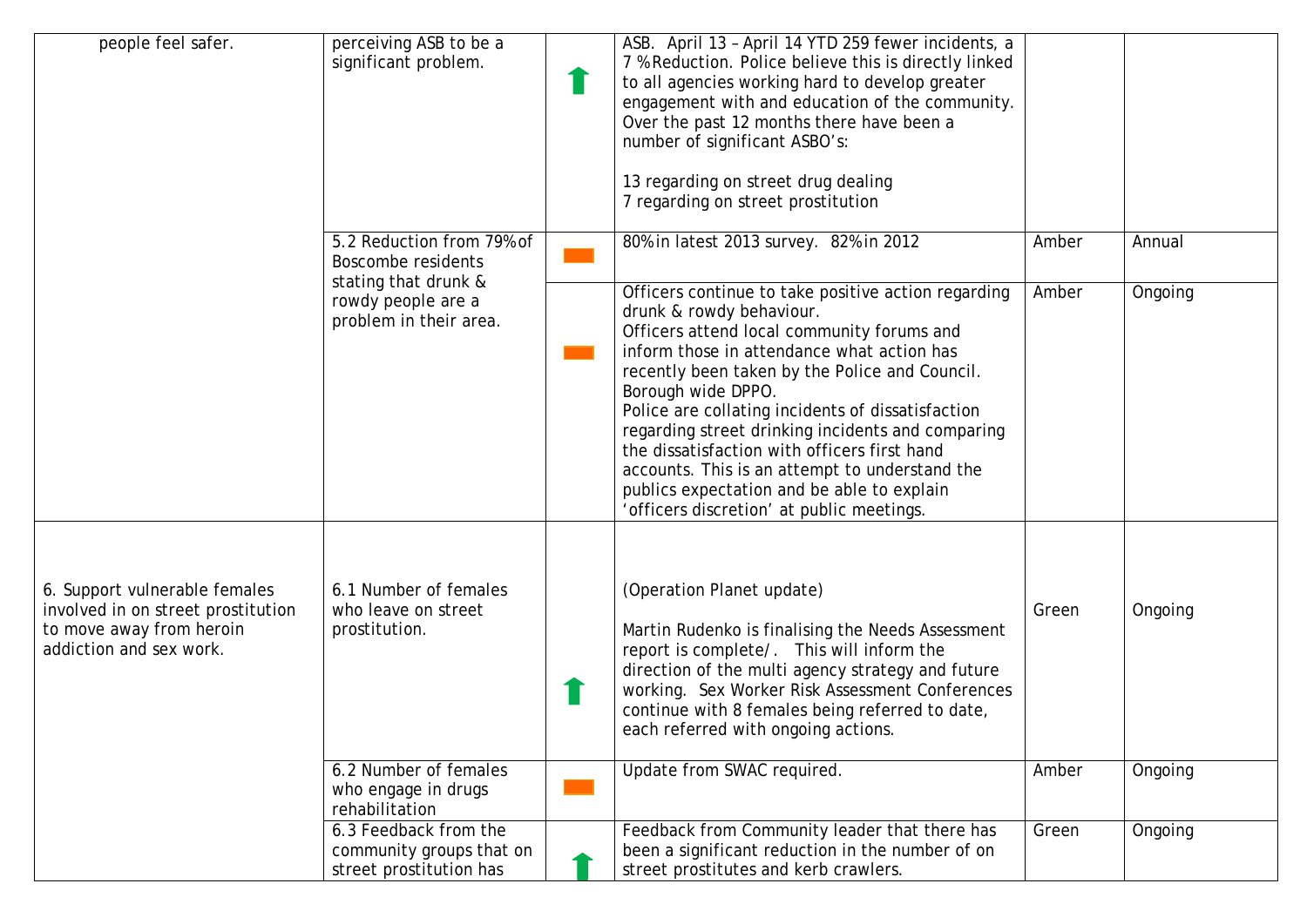| people feel safer.                                                                                                         | perceiving ASB to be a<br>significant problem.                               | ASB. April 13 - April 14 YTD 259 fewer incidents, a<br>7 % Reduction. Police believe this is directly linked<br>to all agencies working hard to develop greater<br>engagement with and education of the community.<br>Over the past 12 months there have been a<br>number of significant ASBO's:<br>13 regarding on street drug dealing<br>7 regarding on street prostitution                                                                                                                                                                              |       |         |
|----------------------------------------------------------------------------------------------------------------------------|------------------------------------------------------------------------------|------------------------------------------------------------------------------------------------------------------------------------------------------------------------------------------------------------------------------------------------------------------------------------------------------------------------------------------------------------------------------------------------------------------------------------------------------------------------------------------------------------------------------------------------------------|-------|---------|
|                                                                                                                            | 5.2 Reduction from 79% of<br>Boscombe residents                              | 80% in latest 2013 survey. 82% in 2012                                                                                                                                                                                                                                                                                                                                                                                                                                                                                                                     | Amber | Annual  |
|                                                                                                                            | stating that drunk &<br>rowdy people are a<br>problem in their area.         | Officers continue to take positive action regarding<br>drunk & rowdy behaviour.<br>Officers attend local community forums and<br>inform those in attendance what action has<br>recently been taken by the Police and Council.<br>Borough wide DPPO.<br>Police are collating incidents of dissatisfaction<br>regarding street drinking incidents and comparing<br>the dissatisfaction with officers first hand<br>accounts. This is an attempt to understand the<br>publics expectation and be able to explain<br>'officers discretion' at public meetings. | Amber | Ongoing |
| 6. Support vulnerable females<br>involved in on street prostitution<br>to move away from heroin<br>addiction and sex work. | 6.1 Number of females<br>who leave on street<br>prostitution.                | (Operation Planet update)<br>Martin Rudenko is finalising the Needs Assessment<br>report is complete/. This will inform the<br>direction of the multi agency strategy and future<br>working. Sex Worker Risk Assessment Conferences<br>continue with 8 females being referred to date,<br>each referred with ongoing actions.                                                                                                                                                                                                                              | Green | Ongoing |
|                                                                                                                            | 6.2 Number of females<br>who engage in drugs<br>rehabilitation               | Update from SWAC required.                                                                                                                                                                                                                                                                                                                                                                                                                                                                                                                                 | Amber | Ongoing |
|                                                                                                                            | 6.3 Feedback from the<br>community groups that on<br>street prostitution has | Feedback from Community leader that there has<br>been a significant reduction in the number of on<br>street prostitutes and kerb crawlers.                                                                                                                                                                                                                                                                                                                                                                                                                 | Green | Ongoing |